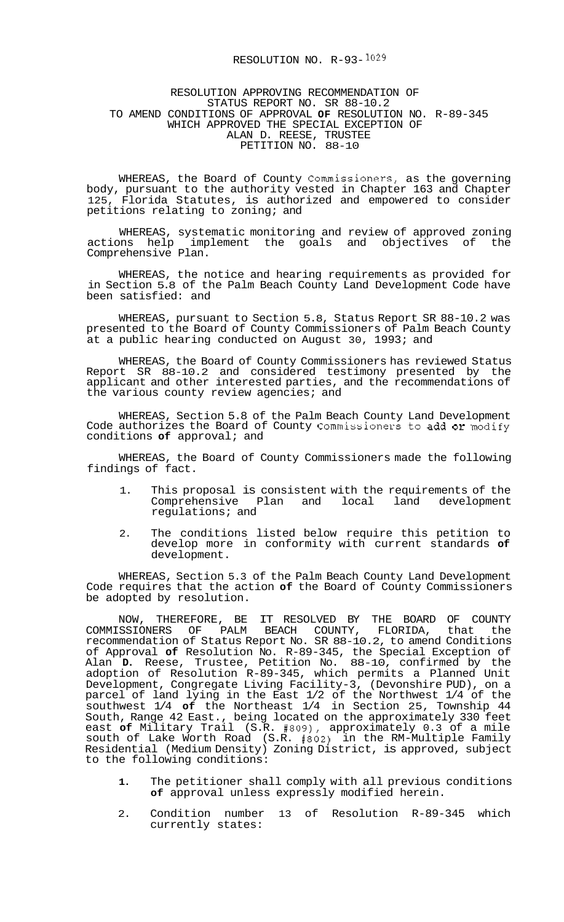## RESOLUTION NO.  $R-93-1029$

## RESOLUTION APPROVING RECOMMENDATION OF STATUS REPORT NO. SR 88-10.2 TO AMEND CONDITIONS OF APPROVAL **OF** RESOLUTION NO. R-89-345 ALAN D. REESE, TRUSTEE PETITION NO. 88-10 WHICH APPROVED THE SPECIAL EXCEPTION OF

WHEREAS, the Board of County Commissioners, as the governing body, pursuant to the authority vested in Chapter 163 and Chapter 125, Florida Statutes, is authorized and empowered to consider petitions relating to zoning; and

WHEREAS, systematic monitoring and review of approved zoning actions help implement the goals and objectives of the Comprehensive Plan.

WHEREAS, the notice and hearing requirements as provided for in Section 5.8 of the Palm Beach County Land Development Code have been satisfied: and

WHEREAS, pursuant to Section 5.8, Status Report SR 88-10.2 was presented to the Board of County Commissioners of Palm Beach County at a public hearing conducted on August 30, 1993; and

WHEREAS, the Board of County Commissioners has reviewed Status Report SR 88-10.2 and considered testimony presented by the applicant and other interested parties, and the recommendations of the various county review agencies; and

WHEREAS, Section 5.8 of the Palm Beach County Land Development Code authorizes the Board of County Commissioners to add or modify conditions **of** approval; and

WHEREAS, the Board of County Commissioners made the following findings of fact.

- 1. This proposal is consistent with the requirements of the<br>Comprehensive Plan and local land development Comprehensive Plan and local regulations; and
- 2. The conditions listed below require this petition to develop more in conformity with current standards **of**  development.

WHEREAS, Section 5.3 of the Palm Beach County Land Development Code requires that the action **of** the Board of County Commissioners be adopted by resolution.

NOW, THEREFORE, BE IT RESOLVED BY THE BOARD OF COUNTY<br>COMMISSIONERS OF PALM BEACH COUNTY, FLORIDA, that the COMMISSIONERS OF PALM BEACH COUNTY, FLORIDA, that the recommendation of Status Report No. SR 88-10.2, to amend Conditions of Approval **of** Resolution No. R-89-345, the Special Exception of Alan **D.** Reese, Trustee, Petition No. 88-10, confirmed by the adoption of Resolution R-89-345, which permits a Planned Unit Development, Congregate Living Facility-3, (Devonshire PUD), on a parcel of land lying in the East 1/2 of the Northwest 1/4 of the southwest 1/4 **of** the Northeast 1/4 in Section 25, Township 44 South, Range 42 East., being located on the approximately 330 feet east **of** Military Trail (S.R. #809), approximately 0.3 of a mile south of Lake Worth Road (S.R. #802) in the RM-Multiple Family Residential (Medium Density) Zoning District, is approved, subject to the following conditions:

- **1.** The petitioner shall comply with all previous conditions **of** approval unless expressly modified herein.
- 2. Condition number 13 of Resolution R-89-345 which currently states: